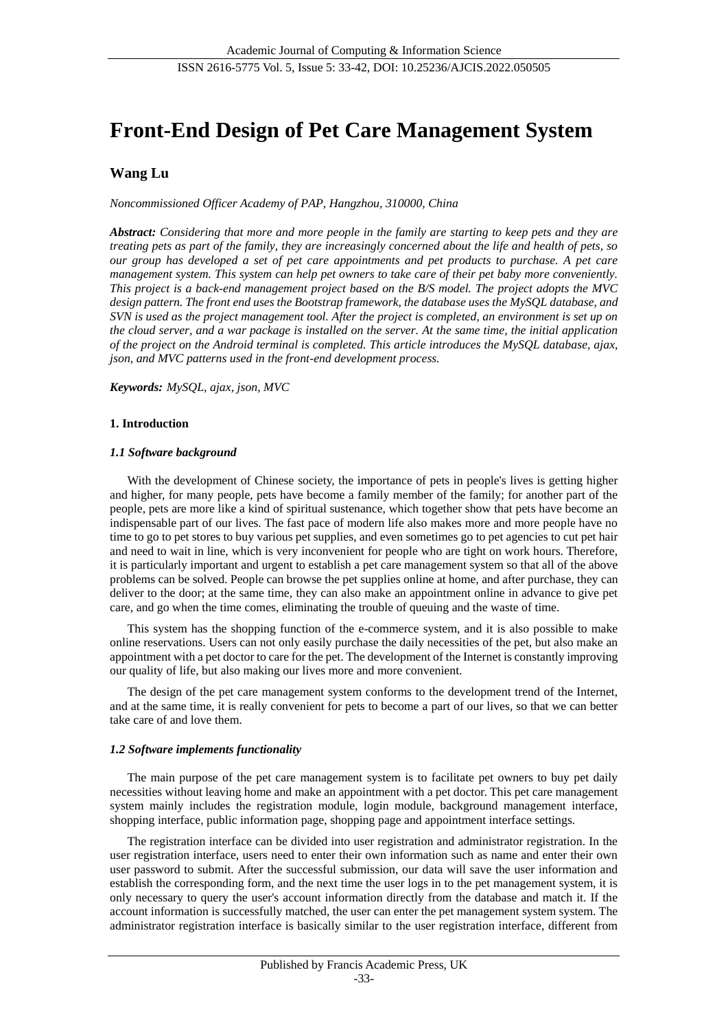# **Front-End Design of Pet Care Management System**

# **Wang Lu**

*Noncommissioned Officer Academy of PAP, Hangzhou, 310000, China*

*Abstract: Considering that more and more people in the family are starting to keep pets and they are treating pets as part of the family, they are increasingly concerned about the life and health of pets, so our group has developed a set of pet care appointments and pet products to purchase. A pet care management system. This system can help pet owners to take care of their pet baby more conveniently. This project is a back-end management project based on the B/S model. The project adopts the MVC design pattern. The front end uses the Bootstrap framework, the database uses the MySQL database, and SVN is used as the project management tool. After the project is completed, an environment is set up on the cloud server, and a war package is installed on the server. At the same time, the initial application of the project on the Android terminal is completed. This article introduces the MySQL database, ajax, json, and MVC patterns used in the front-end development process.*

*Keywords: MySQL, ajax, json, MVC*

# **1. Introduction**

# *1.1 Software background*

With the development of Chinese society, the importance of pets in people's lives is getting higher and higher, for many people, pets have become a family member of the family; for another part of the people, pets are more like a kind of spiritual sustenance, which together show that pets have become an indispensable part of our lives. The fast pace of modern life also makes more and more people have no time to go to pet stores to buy various pet supplies, and even sometimes go to pet agencies to cut pet hair and need to wait in line, which is very inconvenient for people who are tight on work hours. Therefore, it is particularly important and urgent to establish a pet care management system so that all of the above problems can be solved. People can browse the pet supplies online at home, and after purchase, they can deliver to the door; at the same time, they can also make an appointment online in advance to give pet care, and go when the time comes, eliminating the trouble of queuing and the waste of time.

This system has the shopping function of the e-commerce system, and it is also possible to make online reservations. Users can not only easily purchase the daily necessities of the pet, but also make an appointment with a pet doctor to care for the pet. The development of the Internet is constantly improving our quality of life, but also making our lives more and more convenient.

The design of the pet care management system conforms to the development trend of the Internet, and at the same time, it is really convenient for pets to become a part of our lives, so that we can better take care of and love them.

# *1.2 Software implements functionality*

The main purpose of the pet care management system is to facilitate pet owners to buy pet daily necessities without leaving home and make an appointment with a pet doctor. This pet care management system mainly includes the registration module, login module, background management interface, shopping interface, public information page, shopping page and appointment interface settings.

The registration interface can be divided into user registration and administrator registration. In the user registration interface, users need to enter their own information such as name and enter their own user password to submit. After the successful submission, our data will save the user information and establish the corresponding form, and the next time the user logs in to the pet management system, it is only necessary to query the user's account information directly from the database and match it. If the account information is successfully matched, the user can enter the pet management system system. The administrator registration interface is basically similar to the user registration interface, different from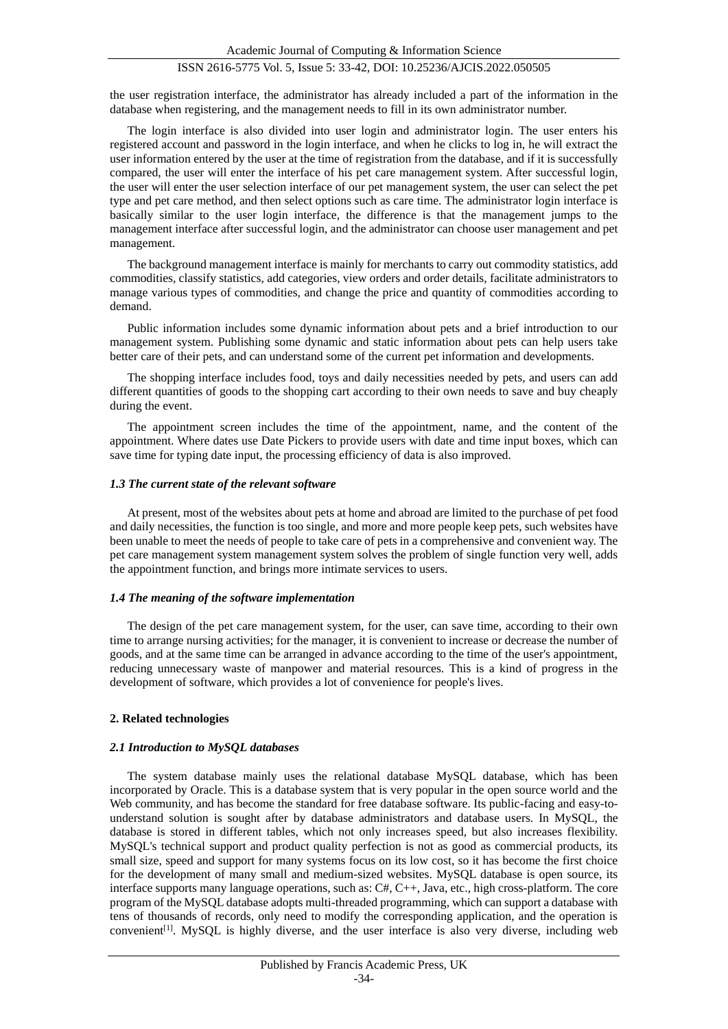the user registration interface, the administrator has already included a part of the information in the database when registering, and the management needs to fill in its own administrator number.

The login interface is also divided into user login and administrator login. The user enters his registered account and password in the login interface, and when he clicks to log in, he will extract the user information entered by the user at the time of registration from the database, and if it is successfully compared, the user will enter the interface of his pet care management system. After successful login, the user will enter the user selection interface of our pet management system, the user can select the pet type and pet care method, and then select options such as care time. The administrator login interface is basically similar to the user login interface, the difference is that the management jumps to the management interface after successful login, and the administrator can choose user management and pet management.

The background management interface is mainly for merchants to carry out commodity statistics, add commodities, classify statistics, add categories, view orders and order details, facilitate administrators to manage various types of commodities, and change the price and quantity of commodities according to demand.

Public information includes some dynamic information about pets and a brief introduction to our management system. Publishing some dynamic and static information about pets can help users take better care of their pets, and can understand some of the current pet information and developments.

The shopping interface includes food, toys and daily necessities needed by pets, and users can add different quantities of goods to the shopping cart according to their own needs to save and buy cheaply during the event.

The appointment screen includes the time of the appointment, name, and the content of the appointment. Where dates use Date Pickers to provide users with date and time input boxes, which can save time for typing date input, the processing efficiency of data is also improved.

# *1.3 The current state of the relevant software*

At present, most of the websites about pets at home and abroad are limited to the purchase of pet food and daily necessities, the function is too single, and more and more people keep pets, such websites have been unable to meet the needs of people to take care of pets in a comprehensive and convenient way. The pet care management system management system solves the problem of single function very well, adds the appointment function, and brings more intimate services to users.

# *1.4 The meaning of the software implementation*

The design of the pet care management system, for the user, can save time, according to their own time to arrange nursing activities; for the manager, it is convenient to increase or decrease the number of goods, and at the same time can be arranged in advance according to the time of the user's appointment, reducing unnecessary waste of manpower and material resources. This is a kind of progress in the development of software, which provides a lot of convenience for people's lives.

# **2. Related technologies**

# *2.1 Introduction to MySQL databases*

The system database mainly uses the relational database MySQL database, which has been incorporated by Oracle. This is a database system that is very popular in the open source world and the Web community, and has become the standard for free database software. Its public-facing and easy-tounderstand solution is sought after by database administrators and database users. In MySQL, the database is stored in different tables, which not only increases speed, but also increases flexibility. MySQL's technical support and product quality perfection is not as good as commercial products, its small size, speed and support for many systems focus on its low cost, so it has become the first choice for the development of many small and medium-sized websites. MySQL database is open source, its interface supports many language operations, such as:  $C#$ ,  $C++$ , Java, etc., high cross-platform. The core program of the MySQL database adopts multi-threaded programming, which can support a database with tens of thousands of records, only need to modify the corresponding application, and the operation is convenient<sup>[1]</sup>. MySQL is highly diverse, and the user interface is also very diverse, including web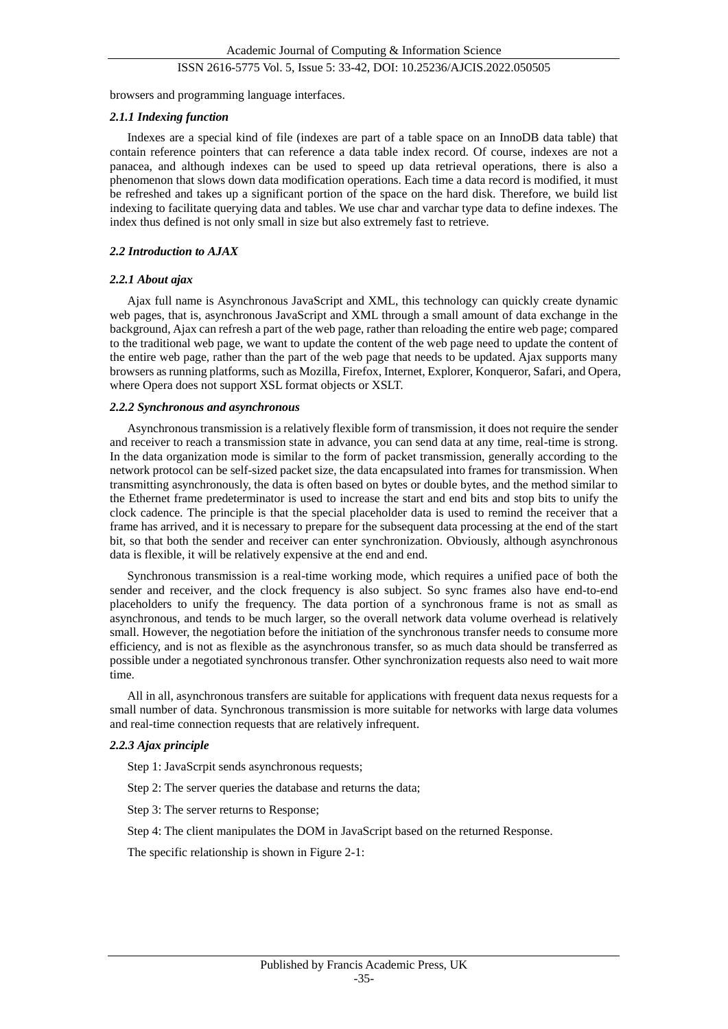browsers and programming language interfaces.

### *2.1.1 Indexing function*

Indexes are a special kind of file (indexes are part of a table space on an InnoDB data table) that contain reference pointers that can reference a data table index record. Of course, indexes are not a panacea, and although indexes can be used to speed up data retrieval operations, there is also a phenomenon that slows down data modification operations. Each time a data record is modified, it must be refreshed and takes up a significant portion of the space on the hard disk. Therefore, we build list indexing to facilitate querying data and tables. We use char and varchar type data to define indexes. The index thus defined is not only small in size but also extremely fast to retrieve.

# *2.2 Introduction to AJAX*

### *2.2.1 About ajax*

Ajax full name is Asynchronous JavaScript and XML, this technology can quickly create dynamic web pages, that is, asynchronous JavaScript and XML through a small amount of data exchange in the background, Ajax can refresh a part of the web page, rather than reloading the entire web page; compared to the traditional web page, we want to update the content of the web page need to update the content of the entire web page, rather than the part of the web page that needs to be updated. Ajax supports many browsers as running platforms, such as Mozilla, Firefox, Internet, Explorer, Konqueror, Safari, and Opera, where Opera does not support XSL format objects or XSLT.

# *2.2.2 Synchronous and asynchronous*

Asynchronous transmission is a relatively flexible form of transmission, it does not require the sender and receiver to reach a transmission state in advance, you can send data at any time, real-time is strong. In the data organization mode is similar to the form of packet transmission, generally according to the network protocol can be self-sized packet size, the data encapsulated into frames for transmission. When transmitting asynchronously, the data is often based on bytes or double bytes, and the method similar to the Ethernet frame predeterminator is used to increase the start and end bits and stop bits to unify the clock cadence. The principle is that the special placeholder data is used to remind the receiver that a frame has arrived, and it is necessary to prepare for the subsequent data processing at the end of the start bit, so that both the sender and receiver can enter synchronization. Obviously, although asynchronous data is flexible, it will be relatively expensive at the end and end.

Synchronous transmission is a real-time working mode, which requires a unified pace of both the sender and receiver, and the clock frequency is also subject. So sync frames also have end-to-end placeholders to unify the frequency. The data portion of a synchronous frame is not as small as asynchronous, and tends to be much larger, so the overall network data volume overhead is relatively small. However, the negotiation before the initiation of the synchronous transfer needs to consume more efficiency, and is not as flexible as the asynchronous transfer, so as much data should be transferred as possible under a negotiated synchronous transfer. Other synchronization requests also need to wait more time.

All in all, asynchronous transfers are suitable for applications with frequent data nexus requests for a small number of data. Synchronous transmission is more suitable for networks with large data volumes and real-time connection requests that are relatively infrequent.

# *2.2.3 Ajax principle*

Step 1: JavaScrpit sends asynchronous requests;

Step 2: The server queries the database and returns the data;

Step 3: The server returns to Response;

Step 4: The client manipulates the DOM in JavaScript based on the returned Response.

The specific relationship is shown in Figure 2-1: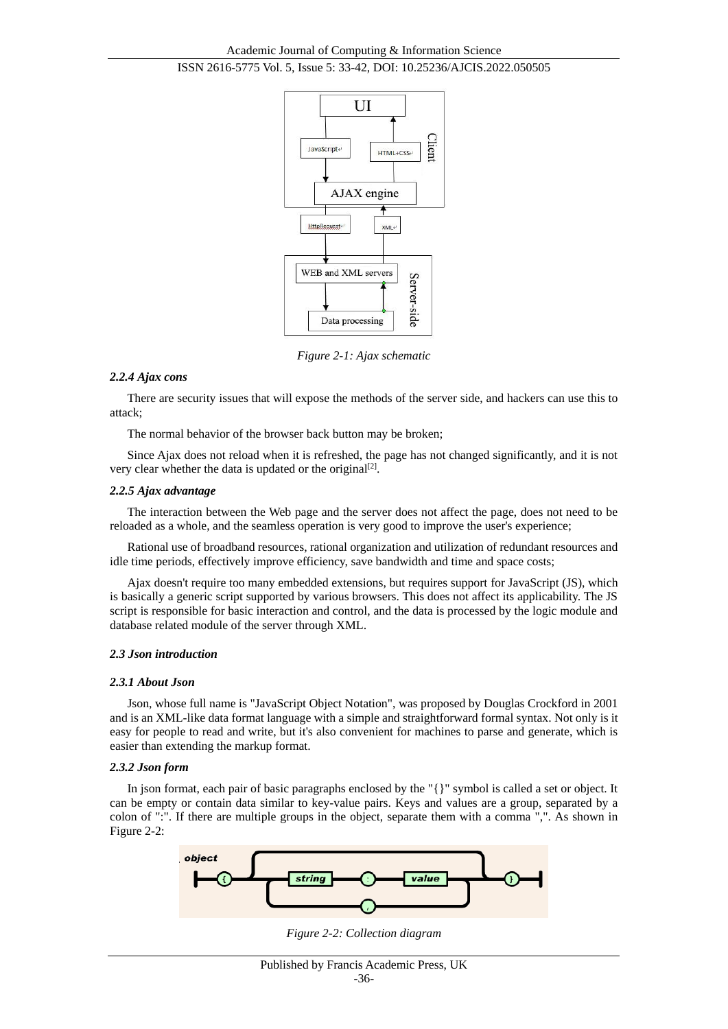

*Figure 2-1: Ajax schematic*

# *2.2.4 Ajax cons*

There are security issues that will expose the methods of the server side, and hackers can use this to attack;

The normal behavior of the browser back button may be broken;

Since Ajax does not reload when it is refreshed, the page has not changed significantly, and it is not very clear whether the data is updated or the original<sup>[2]</sup>.

## *2.2.5 Ajax advantage*

The interaction between the Web page and the server does not affect the page, does not need to be reloaded as a whole, and the seamless operation is very good to improve the user's experience;

Rational use of broadband resources, rational organization and utilization of redundant resources and idle time periods, effectively improve efficiency, save bandwidth and time and space costs;

Ajax doesn't require too many embedded extensions, but requires support for JavaScript (JS), which is basically a generic script supported by various browsers. This does not affect its applicability. The JS script is responsible for basic interaction and control, and the data is processed by the logic module and database related module of the server through XML.

# *2.3 Json introduction*

# *2.3.1 About Json*

Json, whose full name is "JavaScript Object Notation", was proposed by Douglas Crockford in 2001 and is an XML-like data format language with a simple and straightforward formal syntax. Not only is it easy for people to read and write, but it's also convenient for machines to parse and generate, which is easier than extending the markup format.

# *2.3.2 Json form*

In json format, each pair of basic paragraphs enclosed by the "{}" symbol is called a set or object. It can be empty or contain data similar to key-value pairs. Keys and values are a group, separated by a colon of ":". If there are multiple groups in the object, separate them with a comma ",". As shown in Figure 2-2:



*Figure 2-2: Collection diagram*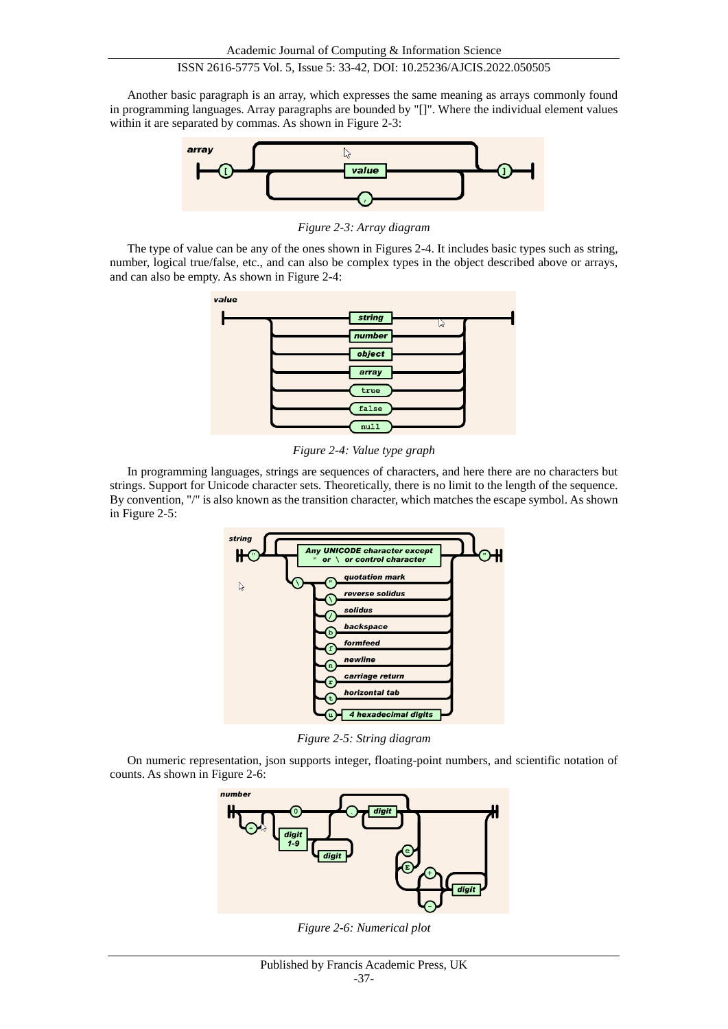Another basic paragraph is an array, which expresses the same meaning as arrays commonly found in programming languages. Array paragraphs are bounded by "[]". Where the individual element values within it are separated by commas. As shown in Figure 2-3:



*Figure 2-3: Array diagram*

The type of value can be any of the ones shown in Figures 2-4. It includes basic types such as string, number, logical true/false, etc., and can also be complex types in the object described above or arrays, and can also be empty. As shown in Figure 2-4:



*Figure 2-4: Value type graph*

In programming languages, strings are sequences of characters, and here there are no characters but strings. Support for Unicode character sets. Theoretically, there is no limit to the length of the sequence. By convention, "/" is also known as the transition character, which matches the escape symbol. As shown in Figure 2-5:



*Figure 2-5: String diagram*

On numeric representation, json supports integer, floating-point numbers, and scientific notation of counts. As shown in Figure 2-6:



*Figure 2-6: Numerical plot*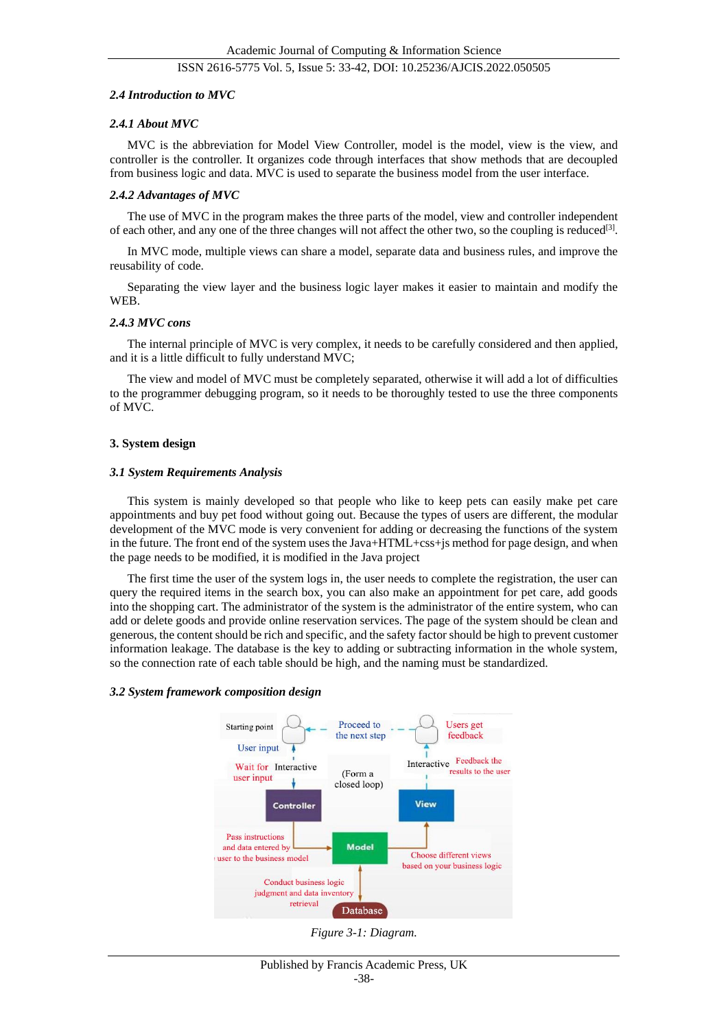# *2.4 Introduction to MVC*

# *2.4.1 About MVC*

MVC is the abbreviation for Model View Controller, model is the model, view is the view, and controller is the controller. It organizes code through interfaces that show methods that are decoupled from business logic and data. MVC is used to separate the business model from the user interface.

# *2.4.2 Advantages of MVC*

The use of MVC in the program makes the three parts of the model, view and controller independent of each other, and any one of the three changes will not affect the other two, so the coupling is reduced<sup>[3]</sup>.

In MVC mode, multiple views can share a model, separate data and business rules, and improve the reusability of code.

Separating the view layer and the business logic layer makes it easier to maintain and modify the WEB.

# *2.4.3 MVC cons*

The internal principle of MVC is very complex, it needs to be carefully considered and then applied, and it is a little difficult to fully understand MVC;

The view and model of MVC must be completely separated, otherwise it will add a lot of difficulties to the programmer debugging program, so it needs to be thoroughly tested to use the three components of MVC.

# **3. System design**

### *3.1 System Requirements Analysis*

This system is mainly developed so that people who like to keep pets can easily make pet care appointments and buy pet food without going out. Because the types of users are different, the modular development of the MVC mode is very convenient for adding or decreasing the functions of the system in the future. The front end of the system uses the Java+HTML+css+js method for page design, and when the page needs to be modified, it is modified in the Java project

The first time the user of the system logs in, the user needs to complete the registration, the user can query the required items in the search box, you can also make an appointment for pet care, add goods into the shopping cart. The administrator of the system is the administrator of the entire system, who can add or delete goods and provide online reservation services. The page of the system should be clean and generous, the content should be rich and specific, and the safety factor should be high to prevent customer information leakage. The database is the key to adding or subtracting information in the whole system, so the connection rate of each table should be high, and the naming must be standardized.

#### *3.2 System framework composition design*



*Figure 3-1: Diagram.*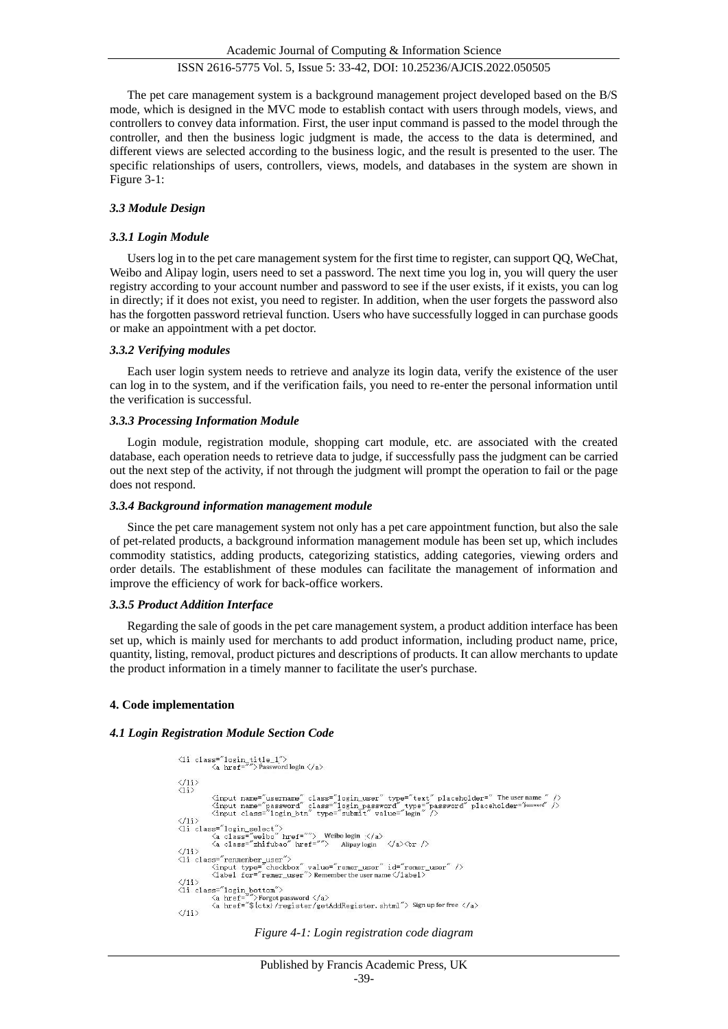The pet care management system is a background management project developed based on the B/S mode, which is designed in the MVC mode to establish contact with users through models, views, and controllers to convey data information. First, the user input command is passed to the model through the controller, and then the business logic judgment is made, the access to the data is determined, and different views are selected according to the business logic, and the result is presented to the user. The specific relationships of users, controllers, views, models, and databases in the system are shown in Figure 3-1:

# *3.3 Module Design*

# *3.3.1 Login Module*

Users log in to the pet care management system for the first time to register, can support QQ, WeChat, Weibo and Alipay login, users need to set a password. The next time you log in, you will query the user registry according to your account number and password to see if the user exists, if it exists, you can log in directly; if it does not exist, you need to register. In addition, when the user forgets the password also has the forgotten password retrieval function. Users who have successfully logged in can purchase goods or make an appointment with a pet doctor.

# *3.3.2 Verifying modules*

Each user login system needs to retrieve and analyze its login data, verify the existence of the user can log in to the system, and if the verification fails, you need to re-enter the personal information until the verification is successful.

# *3.3.3 Processing Information Module*

Login module, registration module, shopping cart module, etc. are associated with the created database, each operation needs to retrieve data to judge, if successfully pass the judgment can be carried out the next step of the activity, if not through the judgment will prompt the operation to fail or the page does not respond.

# *3.3.4 Background information management module*

Since the pet care management system not only has a pet care appointment function, but also the sale of pet-related products, a background information management module has been set up, which includes commodity statistics, adding products, categorizing statistics, adding categories, viewing orders and order details. The establishment of these modules can facilitate the management of information and improve the efficiency of work for back-office workers.

# *3.3.5 Product Addition Interface*

Regarding the sale of goods in the pet care management system, a product addition interface has been set up, which is mainly used for merchants to add product information, including product name, price, quantity, listing, removal, product pictures and descriptions of products. It can allow merchants to update the product information in a timely manner to facilitate the user's purchase.

# **4. Code implementation**

# *4.1 Login Registration Module Section Code*

```
\begin{array}{rl} \text{ $\langle$1i \text{ class}^=\text{``login\_title\_1''}\rangle$} \\ & \text{ $\langle$a \text{ href}^=\text{''''}\rangle$ password login $\langle$/\text{a}$>} \end{array}\frac{\langle /1 \mathrm{i} \rangle}{\langle \mathrm{1} \mathrm{i} \rangle}<input name="username" class="login_user" type="text" placeholder=" The username " /><br><input name="password" class="login_password" type="password" placeholder="password" /><br><input class="login_btn" type="submit" value="lo
\langle 11 \rangle<br>
\langle 11 \rangle<br>
\langle 11 \rangle<br>
\langle 11 \rangle<br>
\langle 11 \rangle<br>
\langle 11 \rangle<br>
\langle 11 \rangle<br>
\langle 11 \rangle<br>
\langle 11 \rangle<br>
\langle 11 \rangle<br>
\langle 11 \rangle<br>
\langle 11 \rangle<br>
\langle 11 \rangle<br>
\langle 11 \rangle<br>
\langle 11 \rangle<br>
\langle 11 \rangle<br>
\langle 11 \rangle<br>
\langle 11 \rangle<br>
\langle 11 \rangle<br>
\langle 11 \rangle<br>
</11><br>
</ii class="renmenber_user"><br>
<ii class="renmenber_user" </input type="checkbox" value="remer_user" id="remer_user" /><br>
</iis><br>
</iis>
\langle 1i \rangle<br>\langle 1i \text{ class} = \text{"login}, \text{bottom"}\frac{1}{2}<br>
\frac{1}{2} a href="") Forgot password \langle A \rangle<br>
\langle A \rangle href="$ {ctx} /register/getAddRegister.shtml"> Sign up for free \langle A \rangle\langle f1i \rangle
```
*Figure 4-1: Login registration code diagram*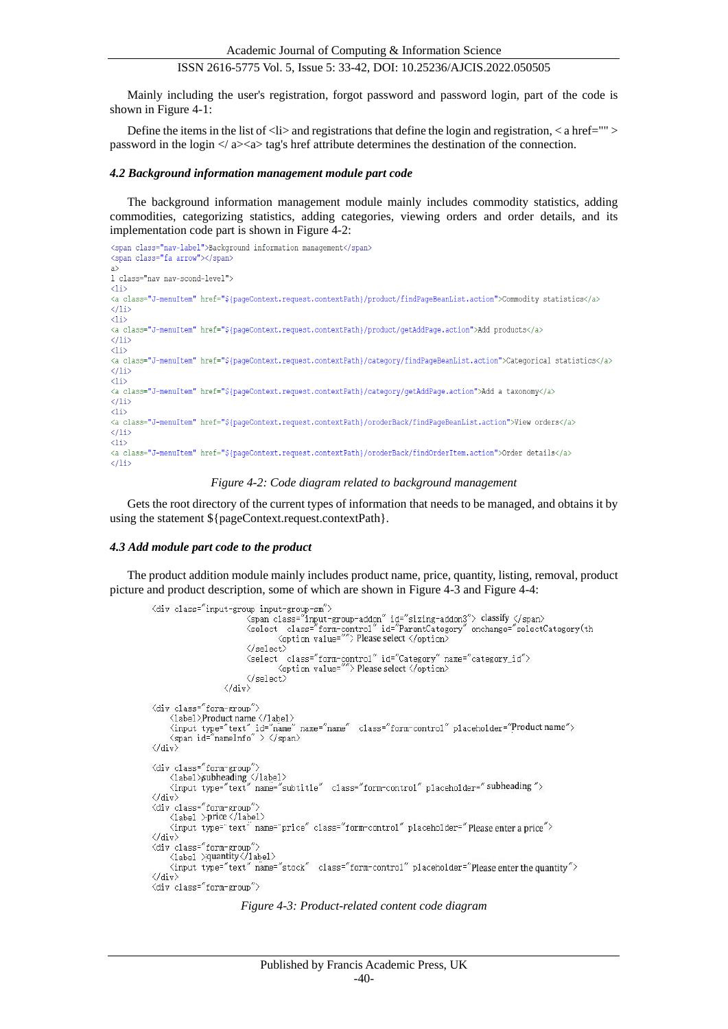Mainly including the user's registration, forgot password and password login, part of the code is shown in Figure 4-1:

Define the items in the list of  $\langle$ li $\rangle$  and registrations that define the login and registration,  $\langle$  a href=""  $\rangle$ password in the login  $\langle \rangle$  a $\rangle$  as tag's href attribute determines the destination of the connection.

#### *4.2 Background information management module part code*

The background information management module mainly includes commodity statistics, adding commodities, categorizing statistics, adding categories, viewing orders and order details, and its implementation code part is shown in Figure 4-2:

```
<span class="nav-label">Background information management</span>
<span class="fa arrow"></span>
\rightarrow1 class="nav nav-scond-level">
\langleli>
<a class="J-menuItem" href="${pageContext.request.contextPath}/product/findPageBeanList.action">Commodity statistics</a>
\langle/li>
\langleli>
<a class="J-menuItem" href="${pageContext.request.contextPath}/product/getAddPage.action">Add products</a>
\langle/li>
\langleli>
<a class="J-menuItem" href="${paqeContext.request.contextPath}/category/findPaqeBeanList.action">Categorical statistics</a>
\langle/li>
\langle11>
<a class="J-menuItem" href="${paqeContext.request.contextPath}/category/qetAddPaqe.action">Add a taxonomy</a>
\langle/li>
\langleli>
<a class="J-menuItem" href="${pageContext.request.contextPath}/oroderBack/findPageBeanList.action">View orders</a>
\langle/li>
\langleli>
<a class="J-menuItem" href="${paqeContext.request.contextPath}/oroderBack/findOrderItem.action">Order details</a>
\langle/li>
```
#### *Figure 4-2: Code diagram related to background management*

Gets the root directory of the current types of information that needs to be managed, and obtains it by using the statement  ${\nvert \}$  {pageContext.request.contextPath}.

#### *4.3 Add module part code to the product*

The product addition module mainly includes product name, price, quantity, listing, removal, product picture and product description, some of which are shown in Figure 4-3 and Figure 4-4:

```
<div class="input-group input-group-sm">
                             way must see in put-group-addon" id="sizing-addon3"> classify </span><br>
<select class="form-control" id="FarentCategory" onchange="selectCategory(th<br>
<organ class="form-control" id="FarentCategory" onchange="selectCategory(
                              \langle/select>
                              <select class="form-control" id="Category" name="category_id">
                                        <option value=""> Please select </option>
                             \langle/select\rangle\langle/div>
<div class="form-group">
      \langle1abel>Product name \langle/1abel>
     \tax>\tax\timput type="text" id="name" name="name" class="form-control" placeholder="Product name"><br>\span_id="nameInfo" > \/span>
\langle/div\rangle<div class="form-group")
     . viass . form a giour .<br>
<label>subheading </label><br>
<input type="text" name="subtitle" class="form-control" placeholder="subheading">
\langle/div>
<div class="form-group"
      <label >price </label>
      <input type="text" name="price" class="form-control" placeholder="Please enter a price">
\langle/div>
<div class="form-group
      <label >quantity</label>
     <input type="text" name="stock" class="form-control" placeholder="Please enter the quantity">
\langle /div \rangle<div class="form-group">
```
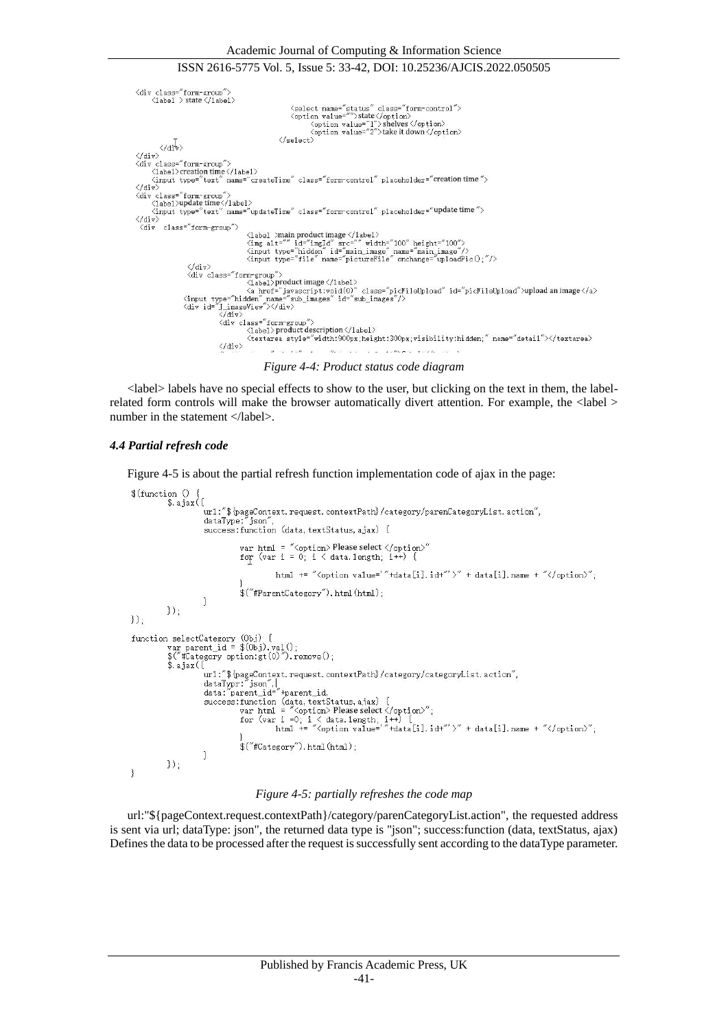```
<div class="form-group"><br><label > state </label>
                                                                                                         <select name="status" class="form-control"><br/><option value="">state</option></option></option value="1">shelves</option></option></option value="2">take it down</option>
                                                                                                 \langle /select \rangle\langle / \text{div} \rangle\langle /div \rangle<div class="form-group"><br><label>creation time</label>
           <iaber>creation time </reater><br><input_type="text"_name="createTime"_class="form-control"_placeholder="<mark>creation time</mark>">
 \ell div
 \\uiv><br>\div class="form-group"><br>\label>update time\/label>
</tabel/update.une</tabel/<br>dime" class="form-control" placeholder="update time"><br></div>
   <div class="form-group">
                                                                           \label{lem:main} $$\langle \hat \rangle \mathrel{X}_\text{def} \leq \frac{1}{\pi} \frac{1}{\pi} \frac{1}{\pi} \frac{1}{\pi} \frac{1}{\pi} \frac{1}{\pi} \frac{1}{\pi} \frac{1}{\pi} \frac{1}{\pi} \frac{1}{\pi} \frac{1}{\pi} \frac{1}{\pi} \frac{1}{\pi} \frac{1}{\pi} \frac{1}{\pi} \frac{1}{\pi} \frac{1}{\pi} \frac{1}{\pi} \frac{1}{\pi} \frac{1}{\pi} \frac{1}{\pi} \frac{1}{\pi} \frac{1}{\pi} \frac{1}{\pi}xinput type="hidden" id="manfilmage" ramse-"manfilmage" /<br>
</div><br>
</div class="form-group"><br>
</div class="form-group"><br>
</div class="form-group"><br>
</div class="form-group"><br>
</div id="j_ivascript:void(0)" class="picFileUp
                                                         <textarea style="width:900px;height:300px;visibility:hidden;" name="detail"></textarea>
                                                         \langle /div \rangle\label{eq:10} H_0(\mathbb{Q}) = \mathbb{Q}(\mathbb{Q}) \qquad \mathbb{Q}(\mathbb{Q}) = \mathbb{Q}(\mathbb{Q}) \qquad \text{and} \qquad H_0(\mathbb{Q}) = \mathbb{Q}(\mathbb{Q}) \qquad \text{and} \qquad \mathbb{Q}(\mathbb{Q}) = \mathbb{Q}(\mathbb{Q}) \qquad \text{and} \qquad \mathbb{Q}(\mathbb{Q}) = \mathbb{Q}(\mathbb{Q}) \qquad \text{and} \qquad \mathbb{Q}(\mathbb{Q}) = \mathbb{Q}(\mathbb{Q}) \qquad \text{and} \qquad \mathbb{Q}(\mathbb{
```
*Figure 4-4: Product status code diagram*

<label> labels have no special effects to show to the user, but clicking on the text in them, the labelrelated form controls will make the browser automatically divert attention. For example, the <label > number in the statement </label>.

### *4.4 Partial refresh code*

Figure 4-5 is about the partial refresh function implementation code of ajax in the page:

```
$(function()s. a iax (f
                            url: "$ {pageContext.request.contextPath} / category/parenCategoryList.action",
                            dataType:"json",<br>success:function (data, textStatus, ajax) {
                                          var html = "<option> Please select </option><br>for (var i = 0; i < data.length; i++) {
                                                        html += "<option value='"+data[i].id+"'>" + data[i].name + "</option>";
                                          $("#ParentCategory").html(html);
                            \overline{\mathcal{X}}\}):
):
function selectCategory (0bj) {<br>var parent_id = $(0bj).val();<br>$("#Category option:gt(0)").remove();
              3.ajax({
                            url:"${pageContext.request.contextPath}/category/categoryList.action",<br>dataTypr:"json",|<br>data:"parent_id="+parent_id,
                            data.parent_1u- +parent_1u,<br>success:function (data,textStatus,ajax) {<br>war html = "(option) Please select \langle/option)";<br>for (var i =0; i < data.length; i++) {<br>html += "(option value=""+data[i].id+"')" + data[i].name + "</o
                                          \frac{2}{3}("#Category").html(\text{html});
                            \overline{\phantom{a}});
\overline{1}
```
### *Figure 4-5: partially refreshes the code map*

url:"\${pageContext.request.contextPath}/category/parenCategoryList.action", the requested address is sent via url; dataType: json", the returned data type is "json"; success:function (data, textStatus, ajax) Defines the data to be processed after the request is successfully sent according to the dataType parameter.